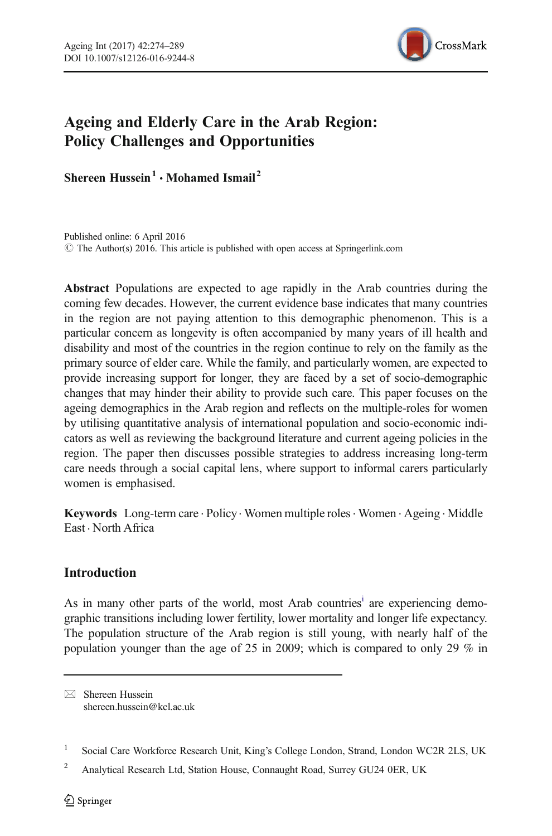

# Ageing and Elderly Care in the Arab Region: Policy Challenges and Opportunities

Shereen Hussein<sup>1</sup>  $\cdot$  Mohamed Ismail<sup>2</sup>

Published online: 6 April 2016 © The Author(s) 2016. This article is published with open access at Springerlink.com

Abstract Populations are expected to age rapidly in the Arab countries during the coming few decades. However, the current evidence base indicates that many countries in the region are not paying attention to this demographic phenomenon. This is a particular concern as longevity is often accompanied by many years of ill health and disability and most of the countries in the region continue to rely on the family as the primary source of elder care. While the family, and particularly women, are expected to provide increasing support for longer, they are faced by a set of socio-demographic changes that may hinder their ability to provide such care. This paper focuses on the ageing demographics in the Arab region and reflects on the multiple-roles for women by utilising quantitative analysis of international population and socio-economic indicators as well as reviewing the background literature and current ageing policies in the region. The paper then discusses possible strategies to address increasing long-term care needs through a social capital lens, where support to informal carers particularly women is emphasised.

Keywords Long-term care . Policy. Women multiple roles. Women . Ageing . Middle East . North Africa

## Introduction

As in many other parts of the world, most Arab countries<sup>1</sup> are experiencing demographic transitions including lower fertility, lower mortality and longer life expectancy. The population structure of the Arab region is still young, with nearly half of the population younger than the age of 25 in 2009; which is compared to only 29 % in

 $\boxtimes$  Shereen Hussein shereen.hussein@kcl.ac.uk

<sup>&</sup>lt;sup>1</sup> Social Care Workforce Research Unit, King's College London, Strand, London WC2R 2LS, UK

<sup>2</sup> Analytical Research Ltd, Station House, Connaught Road, Surrey GU24 0ER, UK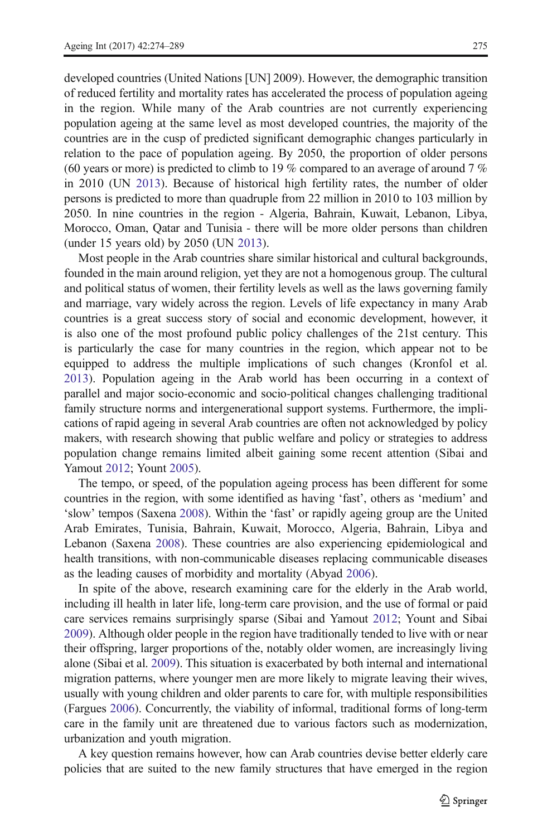developed countries (United Nations [UN] 2009). However, the demographic transition of reduced fertility and mortality rates has accelerated the process of population ageing in the region. While many of the Arab countries are not currently experiencing population ageing at the same level as most developed countries, the majority of the countries are in the cusp of predicted significant demographic changes particularly in relation to the pace of population ageing. By 2050, the proportion of older persons (60 years or more) is predicted to climb to 19 % compared to an average of around 7 % in 2010 (UN [2013\)](#page-14-0). Because of historical high fertility rates, the number of older persons is predicted to more than quadruple from 22 million in 2010 to 103 million by 2050. In nine countries in the region - Algeria, Bahrain, Kuwait, Lebanon, Libya, Morocco, Oman, Qatar and Tunisia - there will be more older persons than children (under 15 years old) by 2050 (UN [2013\)](#page-14-0).

Most people in the Arab countries share similar historical and cultural backgrounds, founded in the main around religion, yet they are not a homogenous group. The cultural and political status of women, their fertility levels as well as the laws governing family and marriage, vary widely across the region. Levels of life expectancy in many Arab countries is a great success story of social and economic development, however, it is also one of the most profound public policy challenges of the 21st century. This is particularly the case for many countries in the region, which appear not to be equipped to address the multiple implications of such changes (Kronfol et al. [2013\)](#page-14-0). Population ageing in the Arab world has been occurring in a context of parallel and major socio-economic and socio-political changes challenging traditional family structure norms and intergenerational support systems. Furthermore, the implications of rapid ageing in several Arab countries are often not acknowledged by policy makers, with research showing that public welfare and policy or strategies to address population change remains limited albeit gaining some recent attention (Sibai and Yamout [2012;](#page-14-0) Yount [2005\)](#page-15-0).

The tempo, or speed, of the population ageing process has been different for some countries in the region, with some identified as having 'fast', others as 'medium' and 'slow' tempos (Saxena [2008\)](#page-14-0). Within the 'fast' or rapidly ageing group are the United Arab Emirates, Tunisia, Bahrain, Kuwait, Morocco, Algeria, Bahrain, Libya and Lebanon (Saxena [2008\)](#page-14-0). These countries are also experiencing epidemiological and health transitions, with non-communicable diseases replacing communicable diseases as the leading causes of morbidity and mortality (Abyad [2006](#page-13-0)).

In spite of the above, research examining care for the elderly in the Arab world, including ill health in later life, long-term care provision, and the use of formal or paid care services remains surprisingly sparse (Sibai and Yamout [2012;](#page-14-0) Yount and Sibai [2009\)](#page-15-0). Although older people in the region have traditionally tended to live with or near their offspring, larger proportions of the, notably older women, are increasingly living alone (Sibai et al. [2009\)](#page-14-0). This situation is exacerbated by both internal and international migration patterns, where younger men are more likely to migrate leaving their wives, usually with young children and older parents to care for, with multiple responsibilities (Fargues [2006](#page-13-0)). Concurrently, the viability of informal, traditional forms of long-term care in the family unit are threatened due to various factors such as modernization, urbanization and youth migration.

A key question remains however, how can Arab countries devise better elderly care policies that are suited to the new family structures that have emerged in the region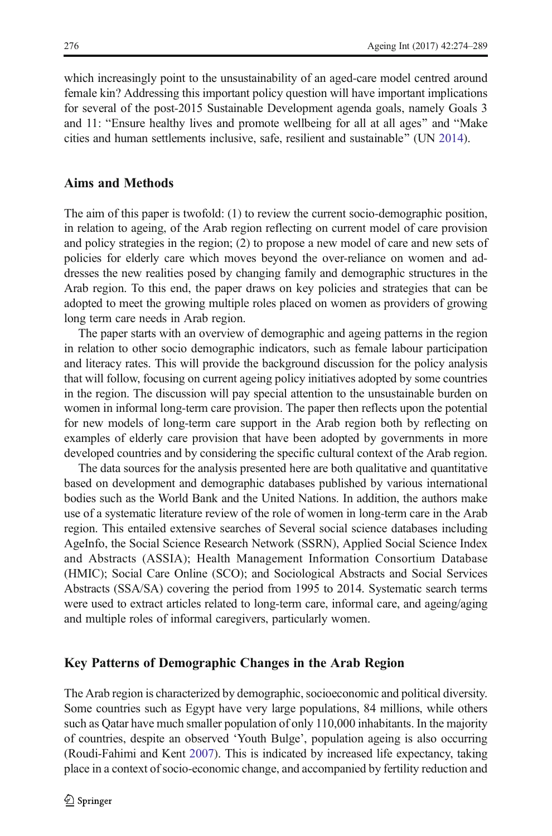which increasingly point to the unsustainability of an aged-care model centred around female kin? Addressing this important policy question will have important implications for several of the post-2015 Sustainable Development agenda goals, namely Goals 3 and 11: "Ensure healthy lives and promote wellbeing for all at all ages" and "Make cities and human settlements inclusive, safe, resilient and sustainable^ (UN [2014](#page-15-0)).

## Aims and Methods

The aim of this paper is twofold: (1) to review the current socio-demographic position, in relation to ageing, of the Arab region reflecting on current model of care provision and policy strategies in the region; (2) to propose a new model of care and new sets of policies for elderly care which moves beyond the over-reliance on women and addresses the new realities posed by changing family and demographic structures in the Arab region. To this end, the paper draws on key policies and strategies that can be adopted to meet the growing multiple roles placed on women as providers of growing long term care needs in Arab region.

The paper starts with an overview of demographic and ageing patterns in the region in relation to other socio demographic indicators, such as female labour participation and literacy rates. This will provide the background discussion for the policy analysis that will follow, focusing on current ageing policy initiatives adopted by some countries in the region. The discussion will pay special attention to the unsustainable burden on women in informal long-term care provision. The paper then reflects upon the potential for new models of long-term care support in the Arab region both by reflecting on examples of elderly care provision that have been adopted by governments in more developed countries and by considering the specific cultural context of the Arab region.

The data sources for the analysis presented here are both qualitative and quantitative based on development and demographic databases published by various international bodies such as the World Bank and the United Nations. In addition, the authors make use of a systematic literature review of the role of women in long-term care in the Arab region. This entailed extensive searches of Several social science databases including AgeInfo, the Social Science Research Network (SSRN), Applied Social Science Index and Abstracts (ASSIA); Health Management Information Consortium Database (HMIC); Social Care Online (SCO); and Sociological Abstracts and Social Services Abstracts (SSA/SA) covering the period from 1995 to 2014. Systematic search terms were used to extract articles related to long-term care, informal care, and ageing/aging and multiple roles of informal caregivers, particularly women.

## Key Patterns of Demographic Changes in the Arab Region

The Arab region is characterized by demographic, socioeconomic and political diversity. Some countries such as Egypt have very large populations, 84 millions, while others such as Qatar have much smaller population of only 110,000 inhabitants. In the majority of countries, despite an observed 'Youth Bulge', population ageing is also occurring (Roudi-Fahimi and Kent [2007](#page-14-0)). This is indicated by increased life expectancy, taking place in a context of socio-economic change, and accompanied by fertility reduction and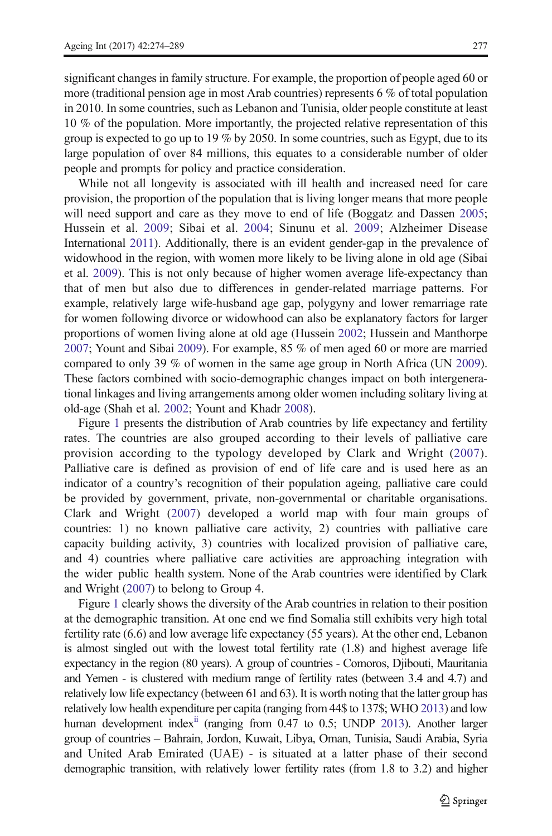significant changes in family structure. For example, the proportion of people aged 60 or more (traditional pension age in most Arab countries) represents  $6\%$  of total population in 2010. In some countries, such as Lebanon and Tunisia, older people constitute at least 10 % of the population. More importantly, the projected relative representation of this group is expected to go up to 19 % by 2050. In some countries, such as Egypt, due to its large population of over 84 millions, this equates to a considerable number of older people and prompts for policy and practice consideration.

While not all longevity is associated with ill health and increased need for care provision, the proportion of the population that is living longer means that more people will need support and care as they move to end of life (Boggatz and Dassen [2005;](#page-13-0) Hussein et al. [2009](#page-13-0); Sibai et al. [2004;](#page-14-0) Sinunu et al. [2009;](#page-14-0) Alzheimer Disease International [2011\)](#page-13-0). Additionally, there is an evident gender-gap in the prevalence of widowhood in the region, with women more likely to be living alone in old age (Sibai et al. [2009\)](#page-14-0). This is not only because of higher women average life-expectancy than that of men but also due to differences in gender-related marriage patterns. For example, relatively large wife-husband age gap, polygyny and lower remarriage rate for women following divorce or widowhood can also be explanatory factors for larger proportions of women living alone at old age (Hussein [2002;](#page-13-0) Hussein and Manthorpe [2007;](#page-13-0) Yount and Sibai [2009\)](#page-15-0). For example, 85 % of men aged 60 or more are married compared to only 39 % of women in the same age group in North Africa (UN [2009\)](#page-15-0). These factors combined with socio-demographic changes impact on both intergenerational linkages and living arrangements among older women including solitary living at old-age (Shah et al. [2002](#page-14-0); Yount and Khadr [2008](#page-15-0)).

Figure [1](#page-4-0) presents the distribution of Arab countries by life expectancy and fertility rates. The countries are also grouped according to their levels of palliative care provision according to the typology developed by Clark and Wright ([2007](#page-13-0)). Palliative care is defined as provision of end of life care and is used here as an indicator of a country's recognition of their population ageing, palliative care could be provided by government, private, non-governmental or charitable organisations. Clark and Wright [\(2007](#page-13-0)) developed a world map with four main groups of countries: 1) no known palliative care activity, 2) countries with palliative care capacity building activity, 3) countries with localized provision of palliative care, and 4) countries where palliative care activities are approaching integration with the wider public health system. None of the Arab countries were identified by Clark and Wright ([2007](#page-13-0)) to belong to Group 4.

Figure [1](#page-4-0) clearly shows the diversity of the Arab countries in relation to their position at the demographic transition. At one end we find Somalia still exhibits very high total fertility rate (6.6) and low average life expectancy (55 years). At the other end, Lebanon is almost singled out with the lowest total fertility rate (1.8) and highest average life expectancy in the region (80 years). A group of countries - Comoros, Djibouti, Mauritania and Yemen - is clustered with medium range of fertility rates (between 3.4 and 4.7) and relatively low life expectancy (between 61 and 63). It is worth noting that the latter group has relatively low health expenditure per capita (ranging from 44\$ to 137\$; WHO [2013\)](#page-15-0) and low human development index $^{\text{ii}}$  (ranging from 0.47 to 0.5; UNDP [2013](#page-14-0)). Another larger group of countries – Bahrain, Jordon, Kuwait, Libya, Oman, Tunisia, Saudi Arabia, Syria and United Arab Emirated (UAE) - is situated at a latter phase of their second demographic transition, with relatively lower fertility rates (from 1.8 to 3.2) and higher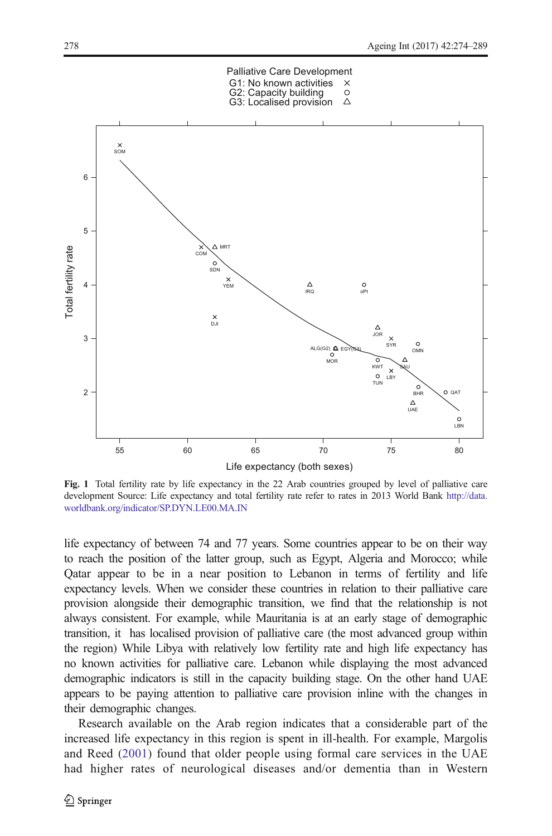<span id="page-4-0"></span>

Fig. 1 Total fertility rate by life expectancy in the 22 Arab countries grouped by level of palliative care development Source: Life expectancy and total fertility rate refer to rates in 2013 World Bank [http://data.](http://data.worldbank.org/indicator/SP.DYN.LE00.MA.IN) [worldbank.org/indicator/SP.DYN.LE00.MA.IN](http://data.worldbank.org/indicator/SP.DYN.LE00.MA.IN)

life expectancy of between 74 and 77 years. Some countries appear to be on their way to reach the position of the latter group, such as Egypt, Algeria and Morocco; while Qatar appear to be in a near position to Lebanon in terms of fertility and life expectancy levels. When we consider these countries in relation to their palliative care provision alongside their demographic transition, we find that the relationship is not always consistent. For example, while Mauritania is at an early stage of demographic transition, it has localised provision of palliative care (the most advanced group within the region) While Libya with relatively low fertility rate and high life expectancy has no known activities for palliative care. Lebanon while displaying the most advanced demographic indicators is still in the capacity building stage. On the other hand UAE appears to be paying attention to palliative care provision inline with the changes in their demographic changes.

Research available on the Arab region indicates that a considerable part of the increased life expectancy in this region is spent in ill-health. For example, Margolis and Reed [\(2001\)](#page-14-0) found that older people using formal care services in the UAE had higher rates of neurological diseases and/or dementia than in Western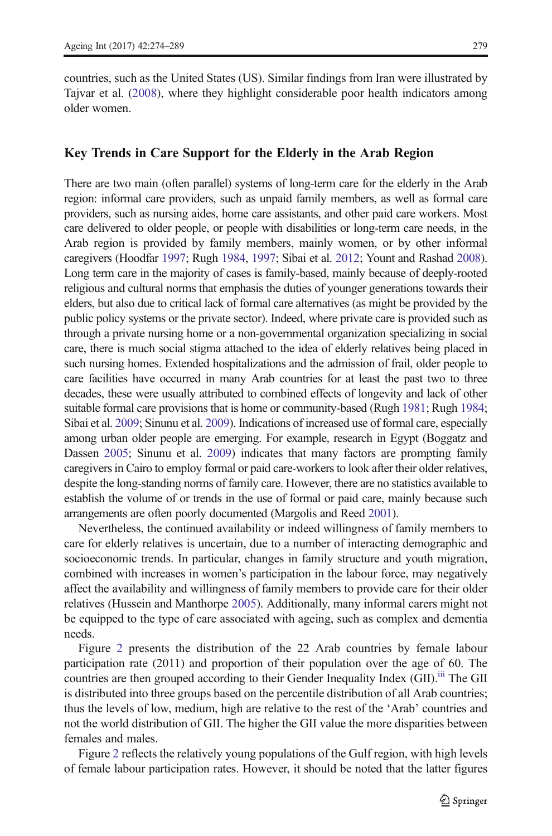countries, such as the United States (US). Similar findings from Iran were illustrated by Tajvar et al. [\(2008\)](#page-14-0), where they highlight considerable poor health indicators among older women.

### Key Trends in Care Support for the Elderly in the Arab Region

There are two main (often parallel) systems of long-term care for the elderly in the Arab region: informal care providers, such as unpaid family members, as well as formal care providers, such as nursing aides, home care assistants, and other paid care workers. Most care delivered to older people, or people with disabilities or long-term care needs, in the Arab region is provided by family members, mainly women, or by other informal caregivers (Hoodfar [1997;](#page-13-0) Rugh [1984](#page-14-0), [1997](#page-14-0); Sibai et al. [2012](#page-14-0); Yount and Rashad [2008\)](#page-15-0). Long term care in the majority of cases is family-based, mainly because of deeply-rooted religious and cultural norms that emphasis the duties of younger generations towards their elders, but also due to critical lack of formal care alternatives (as might be provided by the public policy systems or the private sector). Indeed, where private care is provided such as through a private nursing home or a non-governmental organization specializing in social care, there is much social stigma attached to the idea of elderly relatives being placed in such nursing homes. Extended hospitalizations and the admission of frail, older people to care facilities have occurred in many Arab countries for at least the past two to three decades, these were usually attributed to combined effects of longevity and lack of other suitable formal care provisions that is home or community-based (Rugh [1981](#page-14-0); Rugh [1984;](#page-14-0) Sibai et al. [2009;](#page-14-0) Sinunu et al. [2009\)](#page-14-0). Indications of increased use of formal care, especially among urban older people are emerging. For example, research in Egypt (Boggatz and Dassen [2005](#page-13-0); Sinunu et al. [2009](#page-14-0)) indicates that many factors are prompting family caregivers in Cairo to employ formal or paid care-workers to look after their older relatives, despite the long-standing norms of family care. However, there are no statistics available to establish the volume of or trends in the use of formal or paid care, mainly because such arrangements are often poorly documented (Margolis and Reed [2001](#page-14-0)).

Nevertheless, the continued availability or indeed willingness of family members to care for elderly relatives is uncertain, due to a number of interacting demographic and socioeconomic trends. In particular, changes in family structure and youth migration, combined with increases in women's participation in the labour force, may negatively affect the availability and willingness of family members to provide care for their older relatives (Hussein and Manthorpe [2005](#page-13-0)). Additionally, many informal carers might not be equipped to the type of care associated with ageing, such as complex and dementia needs.

Figure [2](#page-6-0) presents the distribution of the 22 Arab countries by female labour participation rate (2011) and proportion of their population over the age of 60. The countries are then grouped according to their Gender Inequality Index (GII).<sup>[iii](#page-12-0)</sup> The GII is distributed into three groups based on the percentile distribution of all Arab countries; thus the levels of low, medium, high are relative to the rest of the 'Arab' countries and not the world distribution of GII. The higher the GII value the more disparities between females and males.

Figure [2](#page-6-0) reflects the relatively young populations of the Gulf region, with high levels of female labour participation rates. However, it should be noted that the latter figures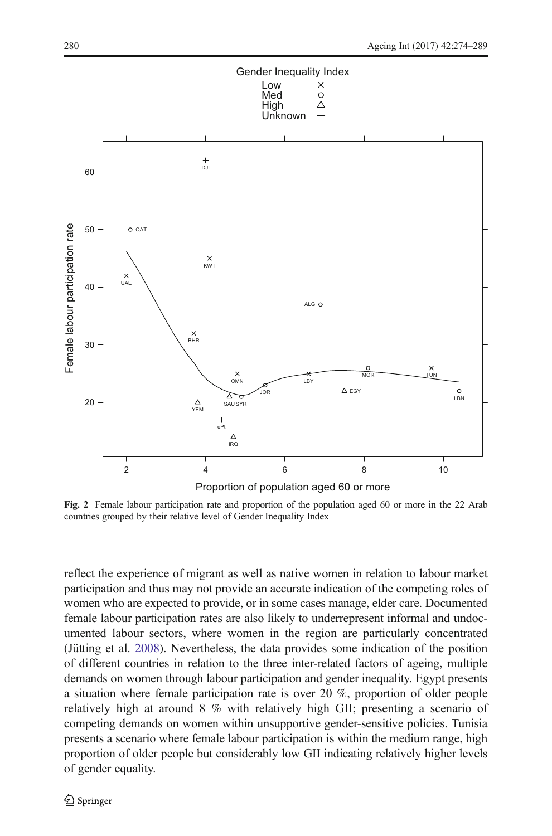<span id="page-6-0"></span>

Fig. 2 Female labour participation rate and proportion of the population aged 60 or more in the 22 Arab countries grouped by their relative level of Gender Inequality Index

reflect the experience of migrant as well as native women in relation to labour market participation and thus may not provide an accurate indication of the competing roles of women who are expected to provide, or in some cases manage, elder care. Documented female labour participation rates are also likely to underrepresent informal and undocumented labour sectors, where women in the region are particularly concentrated (Jütting et al. [2008\)](#page-14-0). Nevertheless, the data provides some indication of the position of different countries in relation to the three inter-related factors of ageing, multiple demands on women through labour participation and gender inequality. Egypt presents a situation where female participation rate is over 20 %, proportion of older people relatively high at around 8 % with relatively high GII; presenting a scenario of competing demands on women within unsupportive gender-sensitive policies. Tunisia presents a scenario where female labour participation is within the medium range, high proportion of older people but considerably low GII indicating relatively higher levels of gender equality.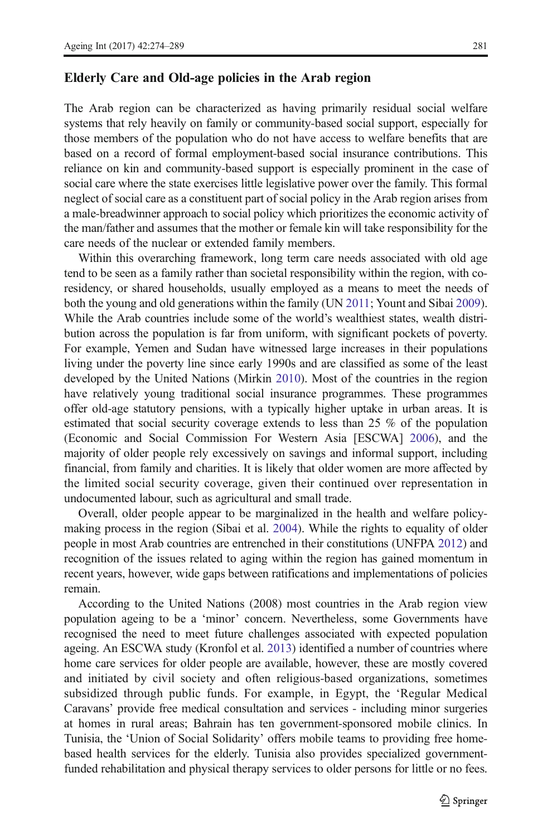#### Elderly Care and Old-age policies in the Arab region

The Arab region can be characterized as having primarily residual social welfare systems that rely heavily on family or community-based social support, especially for those members of the population who do not have access to welfare benefits that are based on a record of formal employment-based social insurance contributions. This reliance on kin and community-based support is especially prominent in the case of social care where the state exercises little legislative power over the family. This formal neglect of social care as a constituent part of social policy in the Arab region arises from a male-breadwinner approach to social policy which prioritizes the economic activity of the man/father and assumes that the mother or female kin will take responsibility for the care needs of the nuclear or extended family members.

Within this overarching framework, long term care needs associated with old age tend to be seen as a family rather than societal responsibility within the region, with coresidency, or shared households, usually employed as a means to meet the needs of both the young and old generations within the family (UN [2011;](#page-15-0) Yount and Sibai [2009\)](#page-15-0). While the Arab countries include some of the world's wealthiest states, wealth distribution across the population is far from uniform, with significant pockets of poverty. For example, Yemen and Sudan have witnessed large increases in their populations living under the poverty line since early 1990s and are classified as some of the least developed by the United Nations (Mirkin [2010](#page-14-0)). Most of the countries in the region have relatively young traditional social insurance programmes. These programmes offer old-age statutory pensions, with a typically higher uptake in urban areas. It is estimated that social security coverage extends to less than 25 % of the population (Economic and Social Commission For Western Asia [ESCWA] [2006](#page-13-0)), and the majority of older people rely excessively on savings and informal support, including financial, from family and charities. It is likely that older women are more affected by the limited social security coverage, given their continued over representation in undocumented labour, such as agricultural and small trade.

Overall, older people appear to be marginalized in the health and welfare policymaking process in the region (Sibai et al. [2004\)](#page-14-0). While the rights to equality of older people in most Arab countries are entrenched in their constitutions (UNFPA [2012\)](#page-15-0) and recognition of the issues related to aging within the region has gained momentum in recent years, however, wide gaps between ratifications and implementations of policies remain.

According to the United Nations (2008) most countries in the Arab region view population ageing to be a 'minor' concern. Nevertheless, some Governments have recognised the need to meet future challenges associated with expected population ageing. An ESCWA study (Kronfol et al. [2013](#page-14-0)) identified a number of countries where home care services for older people are available, however, these are mostly covered and initiated by civil society and often religious-based organizations, sometimes subsidized through public funds. For example, in Egypt, the 'Regular Medical Caravans' provide free medical consultation and services - including minor surgeries at homes in rural areas; Bahrain has ten government-sponsored mobile clinics. In Tunisia, the 'Union of Social Solidarity' offers mobile teams to providing free homebased health services for the elderly. Tunisia also provides specialized governmentfunded rehabilitation and physical therapy services to older persons for little or no fees.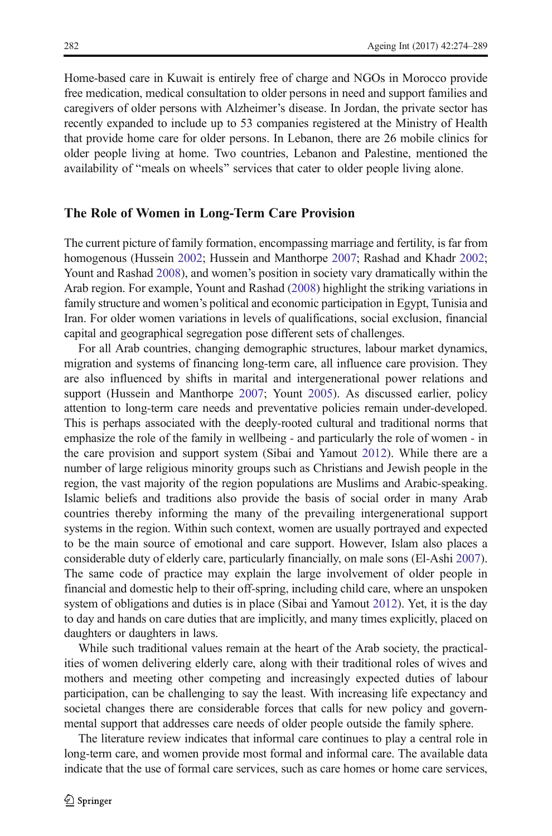Home-based care in Kuwait is entirely free of charge and NGOs in Morocco provide free medication, medical consultation to older persons in need and support families and caregivers of older persons with Alzheimer's disease. In Jordan, the private sector has recently expanded to include up to 53 companies registered at the Ministry of Health that provide home care for older persons. In Lebanon, there are 26 mobile clinics for older people living at home. Two countries, Lebanon and Palestine, mentioned the availability of "meals on wheels" services that cater to older people living alone.

#### The Role of Women in Long-Term Care Provision

The current picture of family formation, encompassing marriage and fertility, is far from homogenous (Hussein [2002](#page-13-0); Hussein and Manthorpe [2007;](#page-13-0) Rashad and Khadr [2002;](#page-14-0) Yount and Rashad [2008](#page-15-0)), and women's position in society vary dramatically within the Arab region. For example, Yount and Rashad [\(2008\)](#page-15-0) highlight the striking variations in family structure and women's political and economic participation in Egypt, Tunisia and Iran. For older women variations in levels of qualifications, social exclusion, financial capital and geographical segregation pose different sets of challenges.

For all Arab countries, changing demographic structures, labour market dynamics, migration and systems of financing long-term care, all influence care provision. They are also influenced by shifts in marital and intergenerational power relations and support (Hussein and Manthorpe [2007](#page-13-0); Yount [2005](#page-15-0)). As discussed earlier, policy attention to long-term care needs and preventative policies remain under-developed. This is perhaps associated with the deeply-rooted cultural and traditional norms that emphasize the role of the family in wellbeing - and particularly the role of women - in the care provision and support system (Sibai and Yamout [2012](#page-14-0)). While there are a number of large religious minority groups such as Christians and Jewish people in the region, the vast majority of the region populations are Muslims and Arabic-speaking. Islamic beliefs and traditions also provide the basis of social order in many Arab countries thereby informing the many of the prevailing intergenerational support systems in the region. Within such context, women are usually portrayed and expected to be the main source of emotional and care support. However, Islam also places a considerable duty of elderly care, particularly financially, on male sons (El-Ashi [2007\)](#page-13-0). The same code of practice may explain the large involvement of older people in financial and domestic help to their off-spring, including child care, where an unspoken system of obligations and duties is in place (Sibai and Yamout [2012\)](#page-14-0). Yet, it is the day to day and hands on care duties that are implicitly, and many times explicitly, placed on daughters or daughters in laws.

While such traditional values remain at the heart of the Arab society, the practicalities of women delivering elderly care, along with their traditional roles of wives and mothers and meeting other competing and increasingly expected duties of labour participation, can be challenging to say the least. With increasing life expectancy and societal changes there are considerable forces that calls for new policy and governmental support that addresses care needs of older people outside the family sphere.

The literature review indicates that informal care continues to play a central role in long-term care, and women provide most formal and informal care. The available data indicate that the use of formal care services, such as care homes or home care services,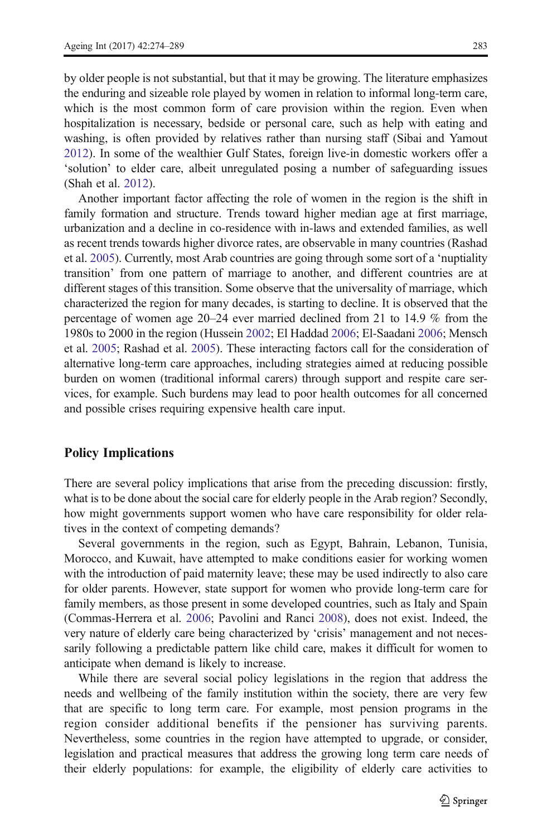by older people is not substantial, but that it may be growing. The literature emphasizes the enduring and sizeable role played by women in relation to informal long-term care, which is the most common form of care provision within the region. Even when hospitalization is necessary, bedside or personal care, such as help with eating and washing, is often provided by relatives rather than nursing staff (Sibai and Yamout [2012\)](#page-14-0). In some of the wealthier Gulf States, foreign live-in domestic workers offer a 'solution' to elder care, albeit unregulated posing a number of safeguarding issues (Shah et al. [2012](#page-14-0)).

Another important factor affecting the role of women in the region is the shift in family formation and structure. Trends toward higher median age at first marriage, urbanization and a decline in co-residence with in-laws and extended families, as well as recent trends towards higher divorce rates, are observable in many countries (Rashad et al. [2005](#page-14-0)). Currently, most Arab countries are going through some sort of a 'nuptiality transition' from one pattern of marriage to another, and different countries are at different stages of this transition. Some observe that the universality of marriage, which characterized the region for many decades, is starting to decline. It is observed that the percentage of women age 20–24 ever married declined from 21 to 14.9 % from the 1980s to 2000 in the region (Hussein [2002](#page-13-0); El Haddad [2006](#page-13-0); El-Saadani [2006;](#page-13-0) Mensch et al. [2005;](#page-14-0) Rashad et al. [2005\)](#page-14-0). These interacting factors call for the consideration of alternative long-term care approaches, including strategies aimed at reducing possible burden on women (traditional informal carers) through support and respite care services, for example. Such burdens may lead to poor health outcomes for all concerned and possible crises requiring expensive health care input.

#### Policy Implications

There are several policy implications that arise from the preceding discussion: firstly, what is to be done about the social care for elderly people in the Arab region? Secondly, how might governments support women who have care responsibility for older relatives in the context of competing demands?

Several governments in the region, such as Egypt, Bahrain, Lebanon, Tunisia, Morocco, and Kuwait, have attempted to make conditions easier for working women with the introduction of paid maternity leave; these may be used indirectly to also care for older parents. However, state support for women who provide long-term care for family members, as those present in some developed countries, such as Italy and Spain (Commas-Herrera et al. [2006;](#page-13-0) Pavolini and Ranci [2008](#page-14-0)), does not exist. Indeed, the very nature of elderly care being characterized by 'crisis' management and not necessarily following a predictable pattern like child care, makes it difficult for women to anticipate when demand is likely to increase.

While there are several social policy legislations in the region that address the needs and wellbeing of the family institution within the society, there are very few that are specific to long term care. For example, most pension programs in the region consider additional benefits if the pensioner has surviving parents. Nevertheless, some countries in the region have attempted to upgrade, or consider, legislation and practical measures that address the growing long term care needs of their elderly populations: for example, the eligibility of elderly care activities to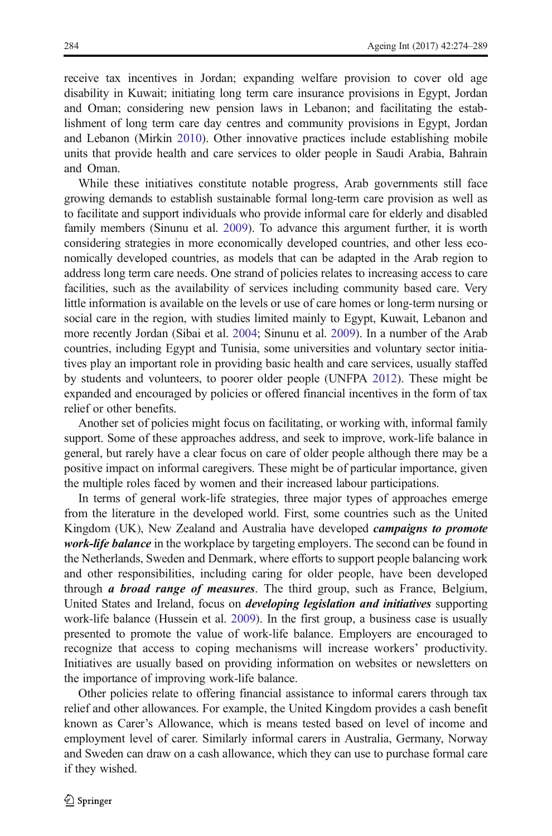receive tax incentives in Jordan; expanding welfare provision to cover old age disability in Kuwait; initiating long term care insurance provisions in Egypt, Jordan and Oman; considering new pension laws in Lebanon; and facilitating the establishment of long term care day centres and community provisions in Egypt, Jordan and Lebanon (Mirkin [2010\)](#page-14-0). Other innovative practices include establishing mobile units that provide health and care services to older people in Saudi Arabia, Bahrain and Oman.

While these initiatives constitute notable progress, Arab governments still face growing demands to establish sustainable formal long-term care provision as well as to facilitate and support individuals who provide informal care for elderly and disabled family members (Sinunu et al. [2009](#page-14-0)). To advance this argument further, it is worth considering strategies in more economically developed countries, and other less economically developed countries, as models that can be adapted in the Arab region to address long term care needs. One strand of policies relates to increasing access to care facilities, such as the availability of services including community based care. Very little information is available on the levels or use of care homes or long-term nursing or social care in the region, with studies limited mainly to Egypt, Kuwait, Lebanon and more recently Jordan (Sibai et al. [2004;](#page-14-0) Sinunu et al. [2009](#page-14-0)). In a number of the Arab countries, including Egypt and Tunisia, some universities and voluntary sector initiatives play an important role in providing basic health and care services, usually staffed by students and volunteers, to poorer older people (UNFPA [2012](#page-15-0)). These might be expanded and encouraged by policies or offered financial incentives in the form of tax relief or other benefits.

Another set of policies might focus on facilitating, or working with, informal family support. Some of these approaches address, and seek to improve, work-life balance in general, but rarely have a clear focus on care of older people although there may be a positive impact on informal caregivers. These might be of particular importance, given the multiple roles faced by women and their increased labour participations.

In terms of general work-life strategies, three major types of approaches emerge from the literature in the developed world. First, some countries such as the United Kingdom (UK), New Zealand and Australia have developed *campaigns to promote* work-life balance in the workplace by targeting employers. The second can be found in the Netherlands, Sweden and Denmark, where efforts to support people balancing work and other responsibilities, including caring for older people, have been developed through *a broad range of measures*. The third group, such as France, Belgium, United States and Ireland, focus on *developing legislation and initiatives* supporting work-life balance (Hussein et al. [2009\)](#page-13-0). In the first group, a business case is usually presented to promote the value of work-life balance. Employers are encouraged to recognize that access to coping mechanisms will increase workers' productivity. Initiatives are usually based on providing information on websites or newsletters on the importance of improving work-life balance.

Other policies relate to offering financial assistance to informal carers through tax relief and other allowances. For example, the United Kingdom provides a cash benefit known as Carer's Allowance, which is means tested based on level of income and employment level of carer. Similarly informal carers in Australia, Germany, Norway and Sweden can draw on a cash allowance, which they can use to purchase formal care if they wished.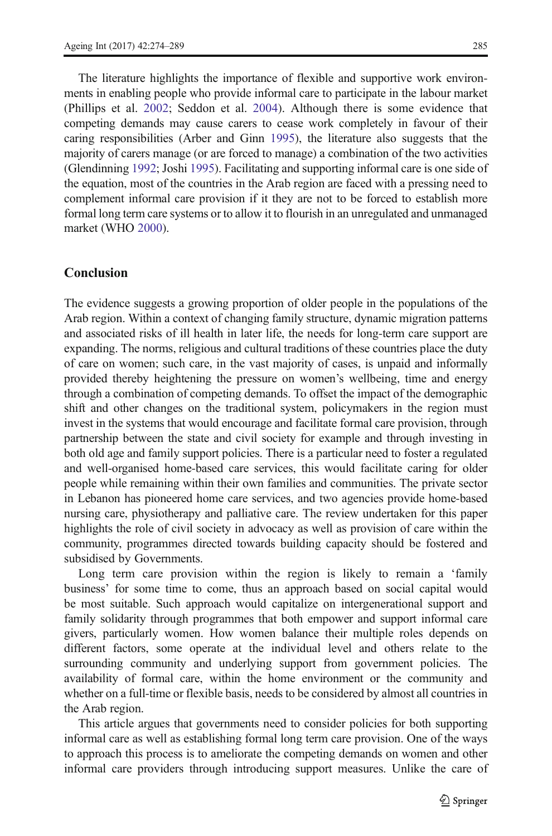The literature highlights the importance of flexible and supportive work environments in enabling people who provide informal care to participate in the labour market (Phillips et al. [2002](#page-14-0); Seddon et al. [2004](#page-14-0)). Although there is some evidence that competing demands may cause carers to cease work completely in favour of their caring responsibilities (Arber and Ginn [1995\)](#page-13-0), the literature also suggests that the majority of carers manage (or are forced to manage) a combination of the two activities (Glendinning [1992](#page-13-0); Joshi [1995\)](#page-14-0). Facilitating and supporting informal care is one side of the equation, most of the countries in the Arab region are faced with a pressing need to complement informal care provision if it they are not to be forced to establish more formal long term care systems or to allow it to flourish in an unregulated and unmanaged market (WHO [2000](#page-15-0)).

## Conclusion

The evidence suggests a growing proportion of older people in the populations of the Arab region. Within a context of changing family structure, dynamic migration patterns and associated risks of ill health in later life, the needs for long-term care support are expanding. The norms, religious and cultural traditions of these countries place the duty of care on women; such care, in the vast majority of cases, is unpaid and informally provided thereby heightening the pressure on women's wellbeing, time and energy through a combination of competing demands. To offset the impact of the demographic shift and other changes on the traditional system, policymakers in the region must invest in the systems that would encourage and facilitate formal care provision, through partnership between the state and civil society for example and through investing in both old age and family support policies. There is a particular need to foster a regulated and well-organised home-based care services, this would facilitate caring for older people while remaining within their own families and communities. The private sector in Lebanon has pioneered home care services, and two agencies provide home-based nursing care, physiotherapy and palliative care. The review undertaken for this paper highlights the role of civil society in advocacy as well as provision of care within the community, programmes directed towards building capacity should be fostered and subsidised by Governments.

Long term care provision within the region is likely to remain a 'family business' for some time to come, thus an approach based on social capital would be most suitable. Such approach would capitalize on intergenerational support and family solidarity through programmes that both empower and support informal care givers, particularly women. How women balance their multiple roles depends on different factors, some operate at the individual level and others relate to the surrounding community and underlying support from government policies. The availability of formal care, within the home environment or the community and whether on a full-time or flexible basis, needs to be considered by almost all countries in the Arab region.

This article argues that governments need to consider policies for both supporting informal care as well as establishing formal long term care provision. One of the ways to approach this process is to ameliorate the competing demands on women and other informal care providers through introducing support measures. Unlike the care of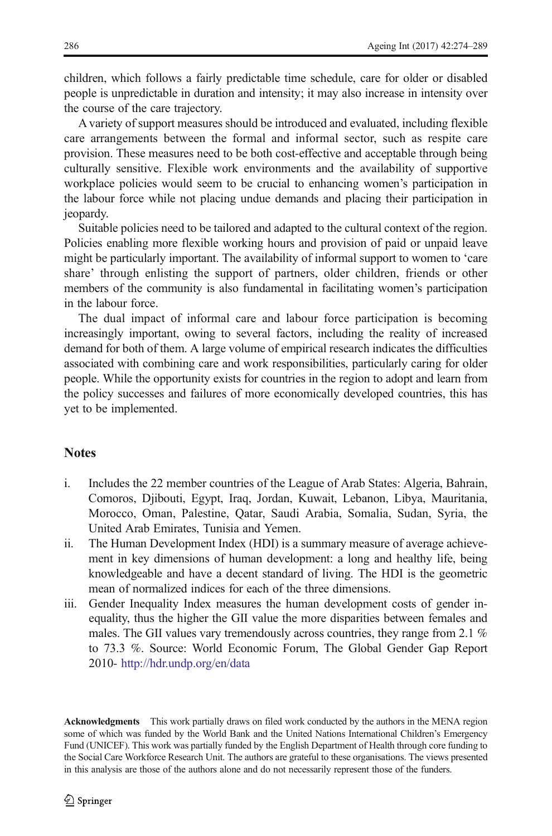<span id="page-12-0"></span>children, which follows a fairly predictable time schedule, care for older or disabled people is unpredictable in duration and intensity; it may also increase in intensity over the course of the care trajectory.

A variety of support measures should be introduced and evaluated, including flexible care arrangements between the formal and informal sector, such as respite care provision. These measures need to be both cost-effective and acceptable through being culturally sensitive. Flexible work environments and the availability of supportive workplace policies would seem to be crucial to enhancing women's participation in the labour force while not placing undue demands and placing their participation in jeopardy.

Suitable policies need to be tailored and adapted to the cultural context of the region. Policies enabling more flexible working hours and provision of paid or unpaid leave might be particularly important. The availability of informal support to women to 'care share' through enlisting the support of partners, older children, friends or other members of the community is also fundamental in facilitating women's participation in the labour force.

The dual impact of informal care and labour force participation is becoming increasingly important, owing to several factors, including the reality of increased demand for both of them. A large volume of empirical research indicates the difficulties associated with combining care and work responsibilities, particularly caring for older people. While the opportunity exists for countries in the region to adopt and learn from the policy successes and failures of more economically developed countries, this has yet to be implemented.

## **Notes**

- i. Includes the 22 member countries of the League of Arab States: Algeria, Bahrain, Comoros, Djibouti, Egypt, Iraq, Jordan, Kuwait, Lebanon, Libya, Mauritania, Morocco, Oman, Palestine, Qatar, Saudi Arabia, Somalia, Sudan, Syria, the United Arab Emirates, Tunisia and Yemen.
- ii. The Human Development Index (HDI) is a summary measure of average achievement in key dimensions of human development: a long and healthy life, being knowledgeable and have a decent standard of living. The HDI is the geometric mean of normalized indices for each of the three dimensions.
- iii. Gender Inequality Index measures the human development costs of gender inequality, thus the higher the GII value the more disparities between females and males. The GII values vary tremendously across countries, they range from 2.1 % to 73.3 %. Source: World Economic Forum, The Global Gender Gap Report 2010- <http://hdr.undp.org/en/data>

Acknowledgments This work partially draws on filed work conducted by the authors in the MENA region some of which was funded by the World Bank and the United Nations International Children's Emergency Fund (UNICEF). This work was partially funded by the English Department of Health through core funding to the Social Care Workforce Research Unit. The authors are grateful to these organisations. The views presented in this analysis are those of the authors alone and do not necessarily represent those of the funders.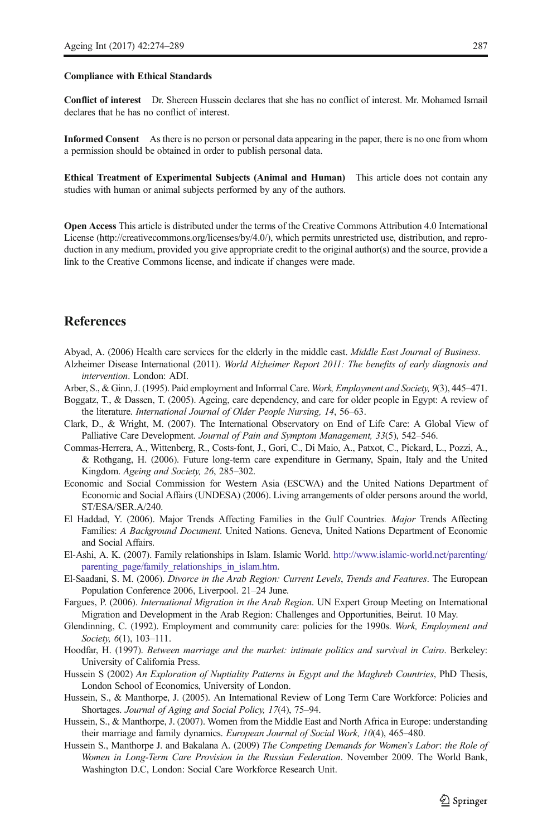#### <span id="page-13-0"></span>Compliance with Ethical Standards

Conflict of interest Dr. Shereen Hussein declares that she has no conflict of interest. Mr. Mohamed Ismail declares that he has no conflict of interest.

Informed Consent As there is no person or personal data appearing in the paper, there is no one from whom a permission should be obtained in order to publish personal data.

Ethical Treatment of Experimental Subjects (Animal and Human) This article does not contain any studies with human or animal subjects performed by any of the authors.

Open Access This article is distributed under the terms of the Creative Commons Attribution 4.0 International License (http://creativecommons.org/licenses/by/4.0/), which permits unrestricted use, distribution, and reproduction in any medium, provided you give appropriate credit to the original author(s) and the source, provide a link to the Creative Commons license, and indicate if changes were made.

## **References**

- Abyad, A. (2006) Health care services for the elderly in the middle east. Middle East Journal of Business.
- Alzheimer Disease International (2011). World Alzheimer Report 2011: The benefits of early diagnosis and intervention. London: ADI.
- Arber, S., & Ginn, J. (1995). Paid employment and Informal Care. Work, Employment and Society, 9(3), 445–471.
- Boggatz, T., & Dassen, T. (2005). Ageing, care dependency, and care for older people in Egypt: A review of the literature. International Journal of Older People Nursing, 14, 56–63.
- Clark, D., & Wright, M. (2007). The International Observatory on End of Life Care: A Global View of Palliative Care Development. Journal of Pain and Symptom Management, 33(5), 542–546.
- Commas-Herrera, A., Wittenberg, R., Costs-font, J., Gori, C., Di Maio, A., Patxot, C., Pickard, L., Pozzi, A., & Rothgang, H. (2006). Future long-term care expenditure in Germany, Spain, Italy and the United Kingdom. Ageing and Society, 26, 285–302.
- Economic and Social Commission for Western Asia (ESCWA) and the United Nations Department of Economic and Social Affairs (UNDESA) (2006). Living arrangements of older persons around the world, ST/ESA/SER.A/240.
- El Haddad, Y. (2006). Major Trends Affecting Families in the Gulf Countries. Major Trends Affecting Families: A Background Document. United Nations. Geneva, United Nations Department of Economic and Social Affairs.
- El-Ashi, A. K. (2007). Family relationships in Islam. Islamic World. [http://www.islamic-world.net/parenting/](http://www.islamic-world.net/parenting/parenting_page/family_relationships_in_islam.htm) [parenting\\_page/family\\_relationships\\_in\\_islam.htm.](http://www.islamic-world.net/parenting/parenting_page/family_relationships_in_islam.htm)
- El-Saadani, S. M. (2006). Divorce in the Arab Region: Current Levels, Trends and Features. The European Population Conference 2006, Liverpool. 21–24 June.
- Fargues, P. (2006). *International Migration in the Arab Region*. UN Expert Group Meeting on International Migration and Development in the Arab Region: Challenges and Opportunities, Beirut. 10 May.
- Glendinning, C. (1992). Employment and community care: policies for the 1990s. Work, Employment and Society, 6(1), 103-111.
- Hoodfar, H. (1997). Between marriage and the market: intimate politics and survival in Cairo. Berkeley: University of California Press.
- Hussein S (2002) An Exploration of Nuptiality Patterns in Egypt and the Maghreb Countries, PhD Thesis, London School of Economics, University of London.
- Hussein, S., & Manthorpe, J. (2005). An International Review of Long Term Care Workforce: Policies and Shortages. Journal of Aging and Social Policy, 17(4), 75–94.
- Hussein, S., & Manthorpe, J. (2007). Women from the Middle East and North Africa in Europe: understanding their marriage and family dynamics. European Journal of Social Work, 10(4), 465–480.
- Hussein S., Manthorpe J. and Bakalana A. (2009) The Competing Demands for Women's Labor: the Role of Women in Long-Term Care Provision in the Russian Federation. November 2009. The World Bank, Washington D.C, London: Social Care Workforce Research Unit.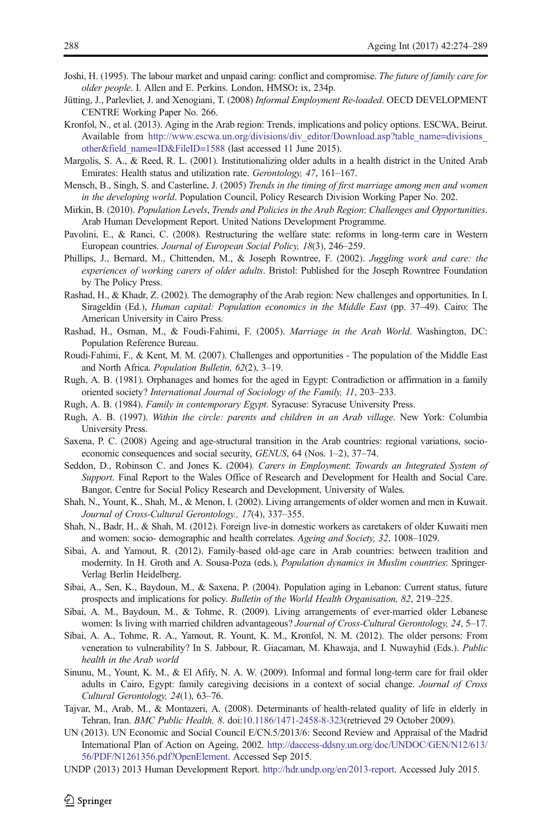- <span id="page-14-0"></span>Joshi, H. (1995). The labour market and unpaid caring: conflict and compromise. The future of family care for older people. I. Allen and E. Perkins. London, HMSO: ix, 234p.
- Jütting, J., Parlevliet, J. and Xenogiani, T. (2008) Informal Employment Re-loaded. OECD DEVELOPMENT CENTRE Working Paper No. 266.
- Kronfol, N., et al. (2013). Aging in the Arab region: Trends, implications and policy options. ESCWA, Beirut. Available from http://www.escwa.un.org/divisions/div\_editor/Download.asp?table\_name=divisions [other&field\\_name=ID&FileID=1588](http://www.escwa.un.org/divisions/div_editor/Download.asp?table_name=divisions_other&field_name=ID&FileID=1588) (last accessed 11 June 2015).
- Margolis, S. A., & Reed, R. L. (2001). Institutionalizing older adults in a health district in the United Arab Emirates: Health status and utilization rate. Gerontology, 47, 161–167.
- Mensch, B., Singh, S. and Casterline, J. (2005) Trends in the timing of first marriage among men and women in the developing world. Population Council, Policy Research Division Working Paper No. 202.
- Mirkin, B. (2010). Population Levels, Trends and Policies in the Arab Region: Challenges and Opportunities. Arab Human Development Report. United Nations Development Programme.
- Pavolini, E., & Ranci, C. (2008). Restructuring the welfare state: reforms in long-term care in Western European countries. Journal of European Social Policy, 18(3), 246–259.
- Phillips, J., Bernard, M., Chittenden, M., & Joseph Rowntree, F. (2002). Juggling work and care: the experiences of working carers of older adults. Bristol: Published for the Joseph Rowntree Foundation by The Policy Press.
- Rashad, H., & Khadr, Z. (2002). The demography of the Arab region: New challenges and opportunities. In I. Sirageldin (Ed.), Human capital: Population economics in the Middle East (pp. 37–49). Cairo: The American University in Cairo Press.
- Rashad, H., Osman, M., & Foudi-Fahimi, F. (2005). Marriage in the Arab World. Washington, DC: Population Reference Bureau.
- Roudi-Fahimi, F., & Kent, M. M. (2007). Challenges and opportunities The population of the Middle East and North Africa. Population Bulletin, 62(2), 3–19.
- Rugh, A. B. (1981). Orphanages and homes for the aged in Egypt: Contradiction or affirmation in a family oriented society? International Journal of Sociology of the Family, 11, 203–233.
- Rugh, A. B. (1984). Family in contemporary Egypt. Syracuse: Syracuse University Press.
- Rugh, A. B. (1997). Within the circle: parents and children in an Arab village. New York: Columbia University Press.
- Saxena, P. C. (2008) Ageing and age-structural transition in the Arab countries: regional variations, socioeconomic consequences and social security, GENUS, 64 (Nos. 1–2), 37–74.
- Seddon, D., Robinson C. and Jones K. (2004). Carers in Employment: Towards an Integrated System of Support. Final Report to the Wales Office of Research and Development for Health and Social Care. Bangor, Centre for Social Policy Research and Development, University of Wales.
- Shah, N., Yount, K., Shah, M., & Menon, I. (2002). Living arrangements of older women and men in Kuwait. Journal of Cross-Cultural Gerontology., 17(4), 337–355.
- Shah, N., Badr, H., & Shah, M. (2012). Foreign live-in domestic workers as caretakers of older Kuwaiti men and women: socio- demographic and health correlates. Ageing and Society, 32, 1008–1029.
- Sibai, A. and Yamout, R. (2012). Family-based old-age care in Arab countries: between tradition and modernity. In H. Groth and A. Sousa-Poza (eds.), Population dynamics in Muslim countries: Springer-Verlag Berlin Heidelberg.
- Sibai, A., Sen, K., Baydoun, M., & Saxena, P. (2004). Population aging in Lebanon: Current status, future prospects and implications for policy. Bulletin of the World Health Organisation, 82, 219–225.
- Sibai, A. M., Baydoun, M., & Tohme, R. (2009). Living arrangements of ever-married older Lebanese women: Is living with married children advantageous? Journal of Cross-Cultural Gerontology, 24, 5–17.
- Sibai, A. A., Tohme, R. A., Yamout, R. Yount, K. M., Kronfol, N. M. (2012). The older persons: From veneration to vulnerability? In S. Jabbour, R. Giacaman, M. Khawaja, and I. Nuwayhid (Eds.). Public health in the Arab world
- Sinunu, M., Yount, K. M., & El Afify, N. A. W. (2009). Informal and formal long-term care for frail older adults in Cairo, Egypt: family caregiving decisions in a context of social change. Journal of Cross Cultural Gerontology, 24(1), 63–76.
- Tajvar, M., Arab, M., & Montazeri, A. (2008). Determinants of health-related quality of life in elderly in Tehran, Iran. BMC Public Health, 8. doi[:10.1186/1471-2458-8-323\(](http://dx.doi.org/10.1186/1471-2458-8-323)retrieved 29 October 2009).
- UN (2013). UN Economic and Social Council E/CN.5/2013/6: Second Review and Appraisal of the Madrid International Plan of Action on Ageing, 2002. [http://daccess-ddsny.un.org/doc/UNDOC/GEN/N12/613/](http://daccess-ddsny.un.org/doc/UNDOC/GEN/N12/613/56/PDF/N1261356.pdf?OpenElement) [56/PDF/N1261356.pdf?OpenElement](http://daccess-ddsny.un.org/doc/UNDOC/GEN/N12/613/56/PDF/N1261356.pdf?OpenElement). Accessed Sep 2015.
- UNDP (2013) 2013 Human Development Report. [http://hdr.undp.org/en/2013-report.](http://hdr.undp.org/en/2013-report) Accessed July 2015.